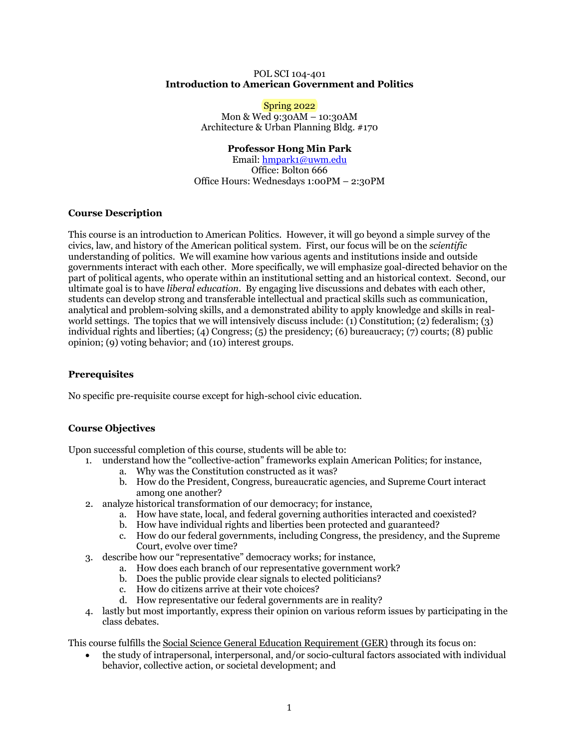#### POL SCI 104-401 **Introduction to American Government and Politics**

Spring 2022 Mon & Wed 9:30AM – 10:30AM Architecture & Urban Planning Bldg. #170

# **Professor Hong Min Park**

Email: hmpark1@uwm.edu Office: Bolton 666 Office Hours: Wednesdays 1:00PM – 2:30PM

# **Course Description**

This course is an introduction to American Politics. However, it will go beyond a simple survey of the civics, law, and history of the American political system. First, our focus will be on the *scientific* understanding of politics. We will examine how various agents and institutions inside and outside governments interact with each other. More specifically, we will emphasize goal-directed behavior on the part of political agents, who operate within an institutional setting and an historical context. Second, our ultimate goal is to have *liberal education*. By engaging live discussions and debates with each other, students can develop strong and transferable intellectual and practical skills such as communication, analytical and problem-solving skills, and a demonstrated ability to apply knowledge and skills in realworld settings. The topics that we will intensively discuss include: (1) Constitution; (2) federalism; (3) individual rights and liberties; (4) Congress; (5) the presidency; (6) bureaucracy; (7) courts; (8) public opinion; (9) voting behavior; and (10) interest groups.

# **Prerequisites**

No specific pre-requisite course except for high-school civic education.

# **Course Objectives**

Upon successful completion of this course, students will be able to:

- 1. understand how the "collective-action" frameworks explain American Politics; for instance,
	- a. Why was the Constitution constructed as it was?
	- b. How do the President, Congress, bureaucratic agencies, and Supreme Court interact among one another?
- 2. analyze historical transformation of our democracy; for instance,
	- a. How have state, local, and federal governing authorities interacted and coexisted?
	- b. How have individual rights and liberties been protected and guaranteed?
	- c. How do our federal governments, including Congress, the presidency, and the Supreme Court, evolve over time?
- 3. describe how our "representative" democracy works; for instance,
	- a. How does each branch of our representative government work?
	- b. Does the public provide clear signals to elected politicians?
	- c. How do citizens arrive at their vote choices?
	- d. How representative our federal governments are in reality?
- 4. lastly but most importantly, express their opinion on various reform issues by participating in the class debates.

This course fulfills the Social Science General Education Requirement (GER) through its focus on:

• the study of intrapersonal, interpersonal, and/or socio-cultural factors associated with individual behavior, collective action, or societal development; and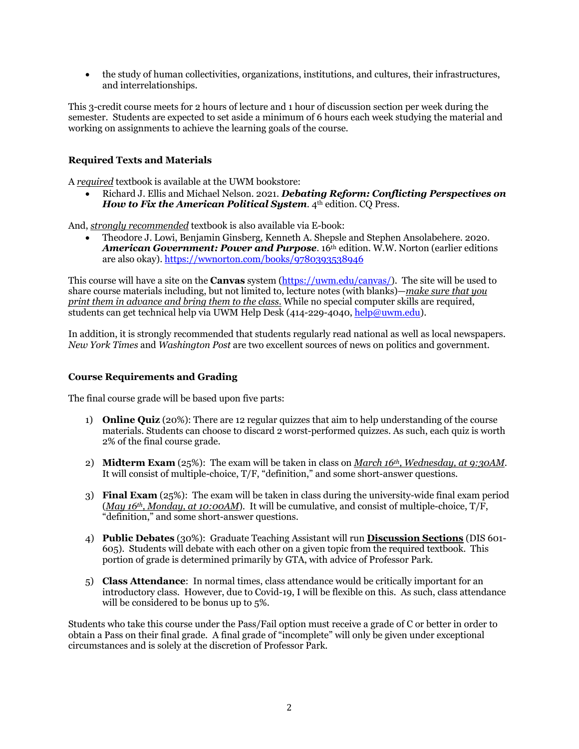• the study of human collectivities, organizations, institutions, and cultures, their infrastructures, and interrelationships.

This 3-credit course meets for 2 hours of lecture and 1 hour of discussion section per week during the semester. Students are expected to set aside a minimum of 6 hours each week studying the material and working on assignments to achieve the learning goals of the course.

# **Required Texts and Materials**

A *required* textbook is available at the UWM bookstore:

• Richard J. Ellis and Michael Nelson. 2021. *Debating Reform: Conflicting Perspectives on How to Fix the American Political System.* 4<sup>th</sup> edition. CO Press.

And, *strongly recommended* textbook is also available via E-book:

• Theodore J. Lowi, Benjamin Ginsberg, Kenneth A. Shepsle and Stephen Ansolabehere. 2020. *American Government: Power and Purpose*. 16th edition. W.W. Norton (earlier editions are also okay). https://wwnorton.com/books/9780393538946

This course will have a site on the **Canvas** system (https://uwm.edu/canvas/). The site will be used to share course materials including, but not limited to, lecture notes (with blanks)—*make sure that you print them in advance and bring them to the class.* While no special computer skills are required, students can get technical help via UWM Help Desk (414-229-4040, help@uwm.edu).

In addition, it is strongly recommended that students regularly read national as well as local newspapers. *New York Times* and *Washington Post* are two excellent sources of news on politics and government.

## **Course Requirements and Grading**

The final course grade will be based upon five parts:

- 1) **Online Quiz** (20%): There are 12 regular quizzes that aim to help understanding of the course materials. Students can choose to discard 2 worst-performed quizzes. As such, each quiz is worth 2% of the final course grade.
- 2) **Midterm Exam** (25%): The exam will be taken in class on *March 16th, Wednesday, at 9:30AM*. It will consist of multiple-choice, T/F, "definition," and some short-answer questions.
- 3) **Final Exam** (25%): The exam will be taken in class during the university-wide final exam period (*May 16th, Monday, at 10:00AM*). It will be cumulative, and consist of multiple-choice, T/F, "definition," and some short-answer questions.
- 4) **Public Debates** (30%): Graduate Teaching Assistant will run **Discussion Sections** (DIS 601- 605). Students will debate with each other on a given topic from the required textbook. This portion of grade is determined primarily by GTA, with advice of Professor Park.
- 5) **Class Attendance**: In normal times, class attendance would be critically important for an introductory class. However, due to Covid-19, I will be flexible on this. As such, class attendance will be considered to be bonus up to 5%.

Students who take this course under the Pass/Fail option must receive a grade of C or better in order to obtain a Pass on their final grade. A final grade of "incomplete" will only be given under exceptional circumstances and is solely at the discretion of Professor Park.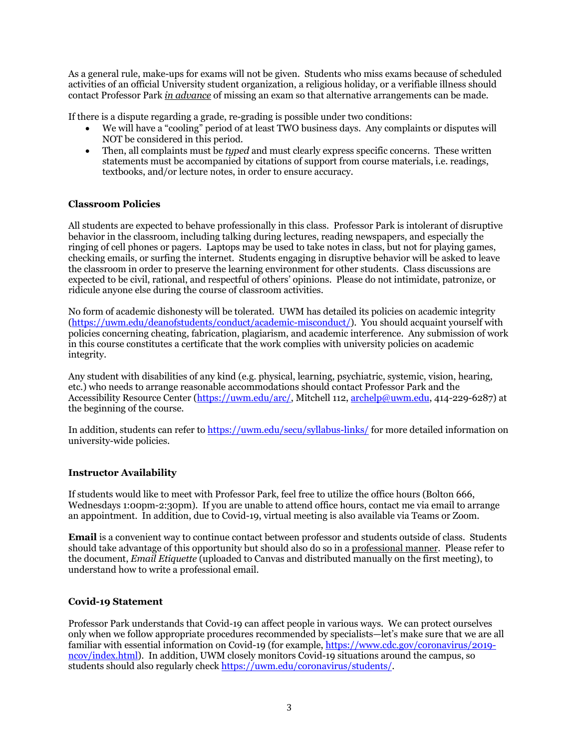As a general rule, make-ups for exams will not be given. Students who miss exams because of scheduled activities of an official University student organization, a religious holiday, or a verifiable illness should contact Professor Park *in advance* of missing an exam so that alternative arrangements can be made.

If there is a dispute regarding a grade, re-grading is possible under two conditions:

- We will have a "cooling" period of at least TWO business days. Any complaints or disputes will NOT be considered in this period.
- Then, all complaints must be *typed* and must clearly express specific concerns. These written statements must be accompanied by citations of support from course materials, i.e. readings, textbooks, and/or lecture notes, in order to ensure accuracy.

# **Classroom Policies**

All students are expected to behave professionally in this class. Professor Park is intolerant of disruptive behavior in the classroom, including talking during lectures, reading newspapers, and especially the ringing of cell phones or pagers. Laptops may be used to take notes in class, but not for playing games, checking emails, or surfing the internet. Students engaging in disruptive behavior will be asked to leave the classroom in order to preserve the learning environment for other students. Class discussions are expected to be civil, rational, and respectful of others' opinions. Please do not intimidate, patronize, or ridicule anyone else during the course of classroom activities.

No form of academic dishonesty will be tolerated. UWM has detailed its policies on academic integrity (https://uwm.edu/deanofstudents/conduct/academic-misconduct/). You should acquaint yourself with policies concerning cheating, fabrication, plagiarism, and academic interference. Any submission of work in this course constitutes a certificate that the work complies with university policies on academic integrity.

Any student with disabilities of any kind (e.g. physical, learning, psychiatric, systemic, vision, hearing, etc.) who needs to arrange reasonable accommodations should contact Professor Park and the Accessibility Resource Center (https://uwm.edu/arc/, Mitchell 112, archelp@uwm.edu, 414-229-6287) at the beginning of the course.

In addition, students can refer to https://uwm.edu/secu/syllabus-links/ for more detailed information on university-wide policies.

### **Instructor Availability**

If students would like to meet with Professor Park, feel free to utilize the office hours (Bolton 666, Wednesdays 1:00pm-2:30pm). If you are unable to attend office hours, contact me via email to arrange an appointment. In addition, due to Covid-19, virtual meeting is also available via Teams or Zoom.

**Email** is a convenient way to continue contact between professor and students outside of class. Students should take advantage of this opportunity but should also do so in a professional manner. Please refer to the document, *Email Etiquette* (uploaded to Canvas and distributed manually on the first meeting), to understand how to write a professional email.

### **Covid-19 Statement**

Professor Park understands that Covid-19 can affect people in various ways. We can protect ourselves only when we follow appropriate procedures recommended by specialists—let's make sure that we are all familiar with essential information on Covid-19 (for example, https://www.cdc.gov/coronavirus/2019ncov/index.html). In addition, UWM closely monitors Covid-19 situations around the campus, so students should also regularly check https://uwm.edu/coronavirus/students/.